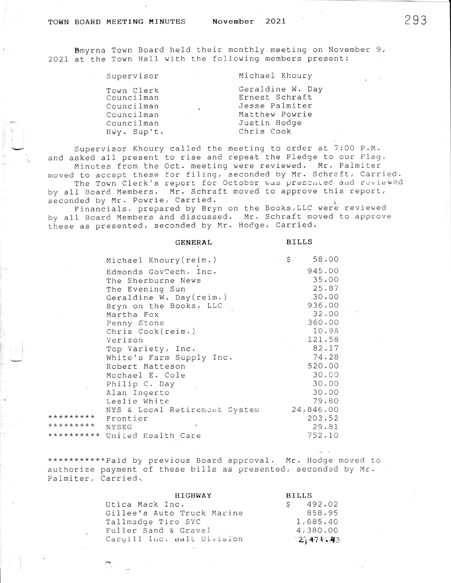## TOWN BOARD MEETING MINUTES

Bmyrna Town Board held their monthly meeting on November 9, 2021 at the Town Hall with the following members present:

| Supervisor                                                                        | Michael Khoury                                                                                       |
|-----------------------------------------------------------------------------------|------------------------------------------------------------------------------------------------------|
| Town Clerk<br>Councilman<br>Councilman<br>Councilman<br>Councilman<br>Hwy. Sup't. | Geraldine W. Day<br>Ernest Schraft<br>Jesse Palmiter<br>Matthew Powrie<br>Justin Hodge<br>Chris Cook |
|                                                                                   |                                                                                                      |

Supervisor Khoury called the meeting to order at 7:00 P.M. and asked all present to rise and repeat the Pledge to our Flag. Minutes from the Oct. meeting were reviewed. Mr. Palmiter moved to accept these for filing, seconded by Mr. Schraft, Carried.<br>The Town Clerk's report for October was presented and reviewed by all Board Members. Mr. Schraft moved to approve this report,

seconded by Mr. Powrie, Carried.

Financials, prepared by Bryn on the Books, LLC were reviewed by all Board Members and discussed. Mr. Schraft moved to approve these as presented, seconded by Mr. Hodge, Carried.

|            | GENERAL                       |   | BILLS     |
|------------|-------------------------------|---|-----------|
|            | Michael Khoury (reim.)        | S | 58.00     |
|            | Edmonds GovTech, Inc.         |   | 945.00    |
|            | The Sherburne News            |   | 35.00     |
|            | The Evening Sun               |   | 25.87     |
|            | Geraldine W. Day(reim,)       |   | 30.00     |
|            | Bryn on the Books, LLC        |   | 936.00    |
|            | Martha Fox                    |   | 32.00     |
|            | Penny Stone                   |   | 360.00    |
|            | Chris Cook(reim.)             |   | 10.98     |
|            | Verizon                       |   | 121.58    |
|            | Top Variety, Inc.             |   | 82.17     |
|            | White's Farm Supply Inc.      |   | 74.28     |
|            | Robert Matteson               |   | 520.00    |
|            | Mochael E. Cole               |   | 30.00     |
|            | Philip C. Day                 |   | 30.00     |
|            | Alan Ingerto                  |   | 30.00     |
|            | Leslie White                  |   | 79.80     |
|            | NYS & Local Retirement System |   | 24,846.00 |
| *********  | Frontier                      |   | 203.52    |
| *********  | <b>NYSEG</b>                  |   | 29.81     |
| ********** | United Health Care            |   | 752.10    |

\*\*\*\*\*\*\*\*\*\*\*Paid by previous Board approval. Mr. Hodge moved to authorize payment of these bills as presented, seconded by Mr. Palmiter, Carried.

| <b>HIGHWAY</b>             | <b>BILLS</b> |  |
|----------------------------|--------------|--|
| Utica Mack Inc.            | 492.02<br>S  |  |
| Gillee's Auto Truck Marine | 858.95       |  |
| Tallmadge Tire SVC         | 1,685.40     |  |
| Fuller Sand & Gravel       | 4,380.00     |  |
| Cargill Inc. Balt Division | 2,471.43     |  |

293